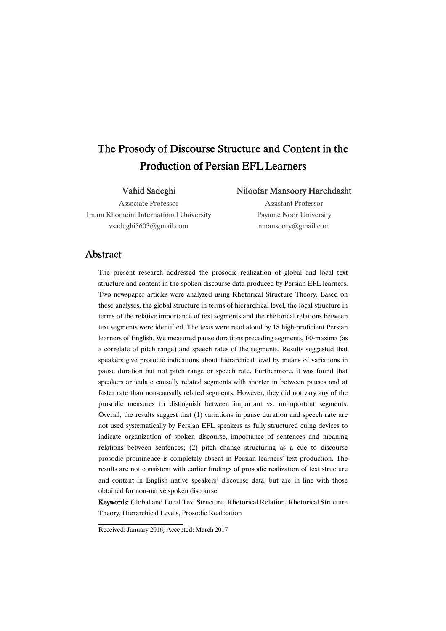# The Prosody of Discourse Structure and Content in the Production of Persian EFL Learners

### Vahid Sadeghi

### Niloofar Mansoory Harehdasht

Associate Professor Imam Khomeini International University vsadeghi5603@gmail.com

Assistant Professor Payame Noor University nmansoory@gmail.com

### Abstract

The present research addressed the prosodic realization of global and local text structure and content in the spoken discourse data produced by Persian EFL learners. Two newspaper articles were analyzed using Rhetorical Structure Theory. Based on these analyses, the global structure in terms of hierarchical level, the local structure in terms of the relative importance of text segments and the rhetorical relations between text segments were identified. The texts were read aloud by 18 high-proficient Persian learners of English. We measured pause durations preceding segments, F0-maxima (as a correlate of pitch range) and speech rates of the segments. Results suggested that speakers give prosodic indications about hierarchical level by means of variations in pause duration but not pitch range or speech rate. Furthermore, it was found that speakers articulate causally related segments with shorter in between pauses and at faster rate than non-causally related segments. However, they did not vary any of the prosodic measures to distinguish between important vs. unimportant segments. Overall, the results suggest that (1) variations in pause duration and speech rate are not used systematically by Persian EFL speakers as fully structured cuing devices to indicate organization of spoken discourse, importance of sentences and meaning relations between sentences; (2) pitch change structuring as a cue to discourse prosodic prominence is completely absent in Persian learners' text production. The results are not consistent with earlier findings of prosodic realization of text structure and content in English native speakers' discourse data, but are in line with those obtained for non-native spoken discourse.

Keywords:Global and Local Text Structure, Rhetorical Relation, Rhetorical Structure Theory, Hierarchical Levels, Prosodic Realization

Received: January 2016; Accepted: March 2017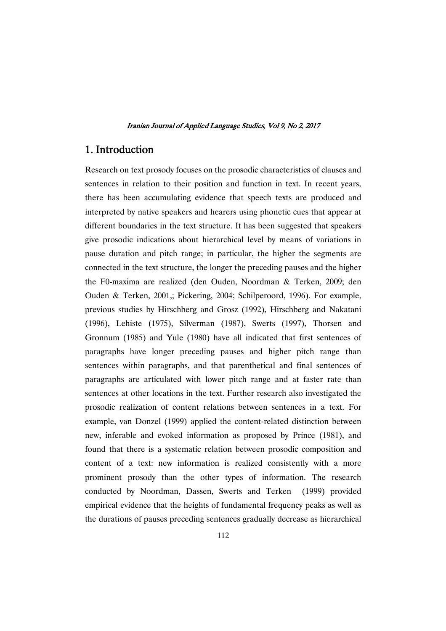## 1. Introduction

Research on text prosody focuses on the prosodic characteristics of clauses and sentences in relation to their position and function in text. In recent years, there has been accumulating evidence that speech texts are produced and interpreted by native speakers and hearers using phonetic cues that appear at different boundaries in the text structure. It has been suggested that speakers give prosodic indications about hierarchical level by means of variations in pause duration and pitch range; in particular, the higher the segments are connected in the text structure, the longer the preceding pauses and the higher the F0-maxima are realized (den Ouden, Noordman & Terken, 2009; den Ouden & Terken, 2001,; Pickering, 2004; Schilperoord, 1996). For example, previous studies by Hirschberg and Grosz (1992), Hirschberg and Nakatani (1996), Lehiste (1975), Silverman (1987), Swerts (1997), Thorsen and Gronnum (1985) and Yule (1980) have all indicated that first sentences of paragraphs have longer preceding pauses and higher pitch range than sentences within paragraphs, and that parenthetical and final sentences of paragraphs are articulated with lower pitch range and at faster rate than sentences at other locations in the text. Further research also investigated the prosodic realization of content relations between sentences in a text. For example, van Donzel (1999) applied the content-related distinction between new, inferable and evoked information as proposed by Prince (1981), and found that there is a systematic relation between prosodic composition and content of a text: new information is realized consistently with a more prominent prosody than the other types of information. The research conducted by Noordman, Dassen, Swerts and Terken (1999) provided empirical evidence that the heights of fundamental frequency peaks as well as the durations of pauses preceding sentences gradually decrease as hierarchical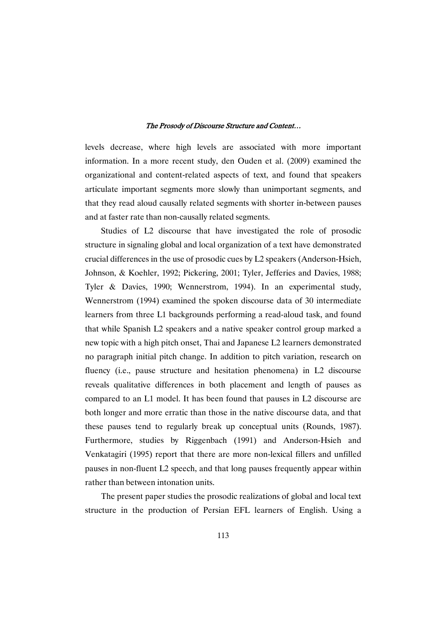levels decrease, where high levels are associated with more important information. In a more recent study, den Ouden et al. (2009) examined the organizational and content-related aspects of text, and found that speakers articulate important segments more slowly than unimportant segments, and that they read aloud causally related segments with shorter in-between pauses and at faster rate than non-causally related segments.

Studies of L2 discourse that have investigated the role of prosodic structure in signaling global and local organization of a text have demonstrated crucial differences in the use of prosodic cues by L2 speakers (Anderson-Hsieh, Johnson, & Koehler, 1992; Pickering, 2001; Tyler, Jefferies and Davies, 1988; Tyler & Davies, 1990; Wennerstrom, 1994). In an experimental study, Wennerstrom (1994) examined the spoken discourse data of 30 intermediate learners from three L1 backgrounds performing a read-aloud task, and found that while Spanish L2 speakers and a native speaker control group marked a new topic with a high pitch onset, Thai and Japanese L2 learners demonstrated no paragraph initial pitch change. In addition to pitch variation, research on fluency (i.e., pause structure and hesitation phenomena) in L2 discourse reveals qualitative differences in both placement and length of pauses as compared to an L1 model. It has been found that pauses in L2 discourse are both longer and more erratic than those in the native discourse data, and that these pauses tend to regularly break up conceptual units (Rounds, 1987). Furthermore, studies by Riggenbach (1991) and Anderson-Hsieh and Venkatagiri (1995) report that there are more non-lexical fillers and unfilled pauses in non-fluent L2 speech, and that long pauses frequently appear within rather than between intonation units.

The present paper studies the prosodic realizations of global and local text structure in the production of Persian EFL learners of English. Using a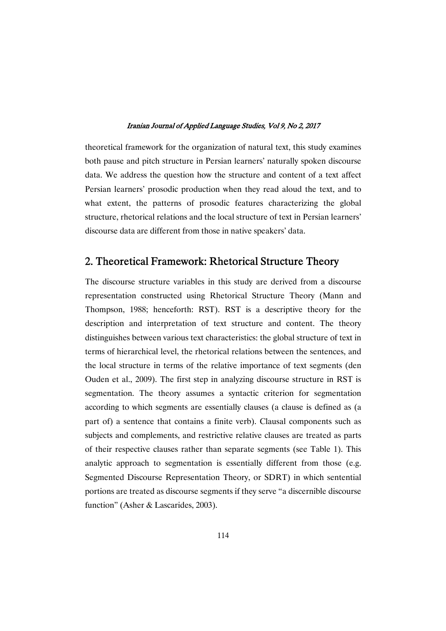theoretical framework for the organization of natural text, this study examines both pause and pitch structure in Persian learners' naturally spoken discourse data. We address the question how the structure and content of a text affect Persian learners' prosodic production when they read aloud the text, and to what extent, the patterns of prosodic features characterizing the global structure, rhetorical relations and the local structure of text in Persian learners' discourse data are different from those in native speakers' data.

## 2. Theoretical Framework: Rhetorical Structure Theory

The discourse structure variables in this study are derived from a discourse representation constructed using Rhetorical Structure Theory (Mann and Thompson, 1988; henceforth: RST). RST is a descriptive theory for the description and interpretation of text structure and content. The theory distinguishes between various text characteristics: the global structure of text in terms of hierarchical level, the rhetorical relations between the sentences, and the local structure in terms of the relative importance of text segments (den Ouden et al., 2009). The first step in analyzing discourse structure in RST is segmentation. The theory assumes a syntactic criterion for segmentation according to which segments are essentially clauses (a clause is defined as (a part of) a sentence that contains a finite verb). Clausal components such as subjects and complements, and restrictive relative clauses are treated as parts of their respective clauses rather than separate segments (see Table 1). This analytic approach to segmentation is essentially different from those (e.g. Segmented Discourse Representation Theory, or SDRT) in which sentential portions are treated as discourse segments if they serve "a discernible discourse function" (Asher & Lascarides, 2003).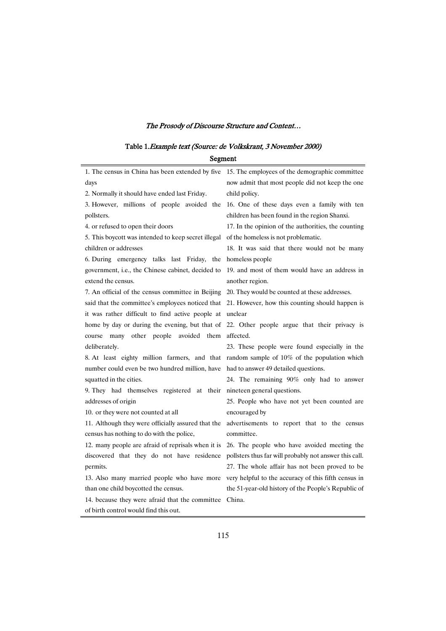## Table 1.Example text (Source: de Volkskrant, 3 November 2000)

| Segment                                             |                                                        |  |
|-----------------------------------------------------|--------------------------------------------------------|--|
| 1. The census in China has been extended by five    | 15. The employees of the demographic committee         |  |
| days                                                | now admit that most people did not keep the one        |  |
| 2. Normally it should have ended last Friday.       | child policy.                                          |  |
| 3. However, millions of people avoided the          | 16. One of these days even a family with ten           |  |
| pollsters.                                          | children has been found in the region Shanxi.          |  |
| 4. or refused to open their doors                   | 17. In the opinion of the authorities, the counting    |  |
| 5. This boycott was intended to keep secret illegal | of the homeless is not problematic.                    |  |
| children or addresses                               | 18. It was said that there would not be many           |  |
| 6. During emergency talks last Friday,<br>the       | homeless people                                        |  |
| government, i.e., the Chinese cabinet, decided to   | 19. and most of them would have an address in          |  |
| extend the census.                                  | another region.                                        |  |
| 7. An official of the census committee in Beijing   | 20. They would be counted at these addresses.          |  |
| said that the committee's employees noticed that    | 21. However, how this counting should happen is        |  |
| it was rather difficult to find active people at    | unclear                                                |  |
| home by day or during the evening, but that of      | 22. Other people argue that their privacy is           |  |
| course many other people avoided<br>them            | affected.                                              |  |
| deliberately.                                       | 23. These people were found especially in the          |  |
| 8. At least eighty million farmers, and that        | random sample of 10% of the population which           |  |
| number could even be two hundred million, have      | had to answer 49 detailed questions.                   |  |
| squatted in the cities.                             | 24. The remaining 90% only had to answer               |  |
| 9. They had themselves registered at their          | nineteen general questions.                            |  |
| addresses of origin                                 | 25. People who have not yet been counted are           |  |
| 10. or they were not counted at all                 | encouraged by                                          |  |
| 11. Although they were officially assured that the  | advertisements to report that to the census            |  |
| census has nothing to do with the police,           | committee.                                             |  |
| 12. many people are afraid of reprisals when it is  | 26. The people who have avoided meeting the            |  |
| discovered that they do not have residence          | pollsters thus far will probably not answer this call. |  |
| permits.                                            | 27. The whole affair has not been proved to be         |  |
| 13. Also many married people who have more          | very helpful to the accuracy of this fifth census in   |  |
| than one child boycotted the census.                | the 51-year-old history of the People's Republic of    |  |
| 14. because they were afraid that the committee     | China.                                                 |  |
| of birth control would find this out.               |                                                        |  |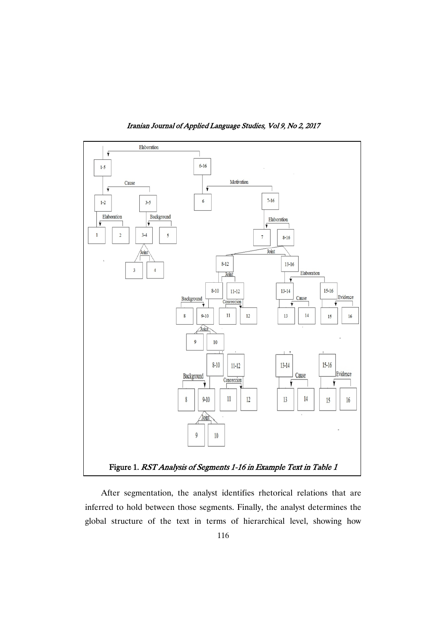

Iranian Journal of Applied Language Studies, Vol 9, No 2, 2017

After segmentation, the analyst identifies rhetorical relations that are inferred to hold between those segments. Finally, the analyst determines the global structure of the text in terms of hierarchical level, showing how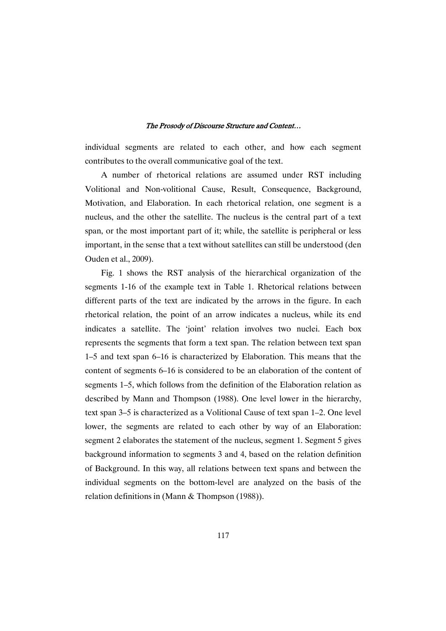individual segments are related to each other, and how each segment contributes to the overall communicative goal of the text.

A number of rhetorical relations are assumed under RST including Volitional and Non-volitional Cause, Result, Consequence, Background, Motivation, and Elaboration. In each rhetorical relation, one segment is a nucleus, and the other the satellite. The nucleus is the central part of a text span, or the most important part of it; while, the satellite is peripheral or less important, in the sense that a text without satellites can still be understood (den Ouden et al., 2009).

Fig. 1 shows the RST analysis of the hierarchical organization of the segments 1-16 of the example text in Table 1. Rhetorical relations between different parts of the text are indicated by the arrows in the figure. In each rhetorical relation, the point of an arrow indicates a nucleus, while its end indicates a satellite. The 'joint' relation involves two nuclei. Each box represents the segments that form a text span. The relation between text span 1–5 and text span 6–16 is characterized by Elaboration. This means that the content of segments 6–16 is considered to be an elaboration of the content of segments 1–5, which follows from the definition of the Elaboration relation as described by Mann and Thompson (1988). One level lower in the hierarchy, text span 3–5 is characterized as a Volitional Cause of text span 1–2. One level lower, the segments are related to each other by way of an Elaboration: segment 2 elaborates the statement of the nucleus, segment 1. Segment 5 gives background information to segments 3 and 4, based on the relation definition of Background. In this way, all relations between text spans and between the individual segments on the bottom-level are analyzed on the basis of the relation definitions in (Mann & Thompson (1988)).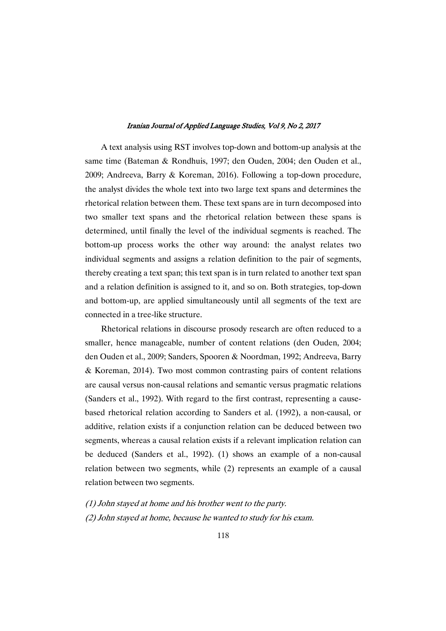A text analysis using RST involves top-down and bottom-up analysis at the same time (Bateman & Rondhuis, 1997; den Ouden, 2004; den Ouden et al., 2009; Andreeva, Barry & Koreman, 2016). Following a top-down procedure, the analyst divides the whole text into two large text spans and determines the rhetorical relation between them. These text spans are in turn decomposed into two smaller text spans and the rhetorical relation between these spans is determined, until finally the level of the individual segments is reached. The bottom-up process works the other way around: the analyst relates two individual segments and assigns a relation definition to the pair of segments, thereby creating a text span; this text span is in turn related to another text span and a relation definition is assigned to it, and so on. Both strategies, top-down and bottom-up, are applied simultaneously until all segments of the text are connected in a tree-like structure.

Rhetorical relations in discourse prosody research are often reduced to a smaller, hence manageable, number of content relations (den Ouden, 2004; den Ouden et al., 2009; Sanders, Spooren & Noordman, 1992; Andreeva, Barry & Koreman, 2014). Two most common contrasting pairs of content relations are causal versus non-causal relations and semantic versus pragmatic relations (Sanders et al., 1992). With regard to the first contrast, representing a causebased rhetorical relation according to Sanders et al. (1992), a non-causal, or additive, relation exists if a conjunction relation can be deduced between two segments, whereas a causal relation exists if a relevant implication relation can be deduced (Sanders et al., 1992). (1) shows an example of a non-causal relation between two segments, while (2) represents an example of a causal relation between two segments.

(1) John stayed at home and his brother went to the party. (2) John stayed at home, because he wanted to study for his exam.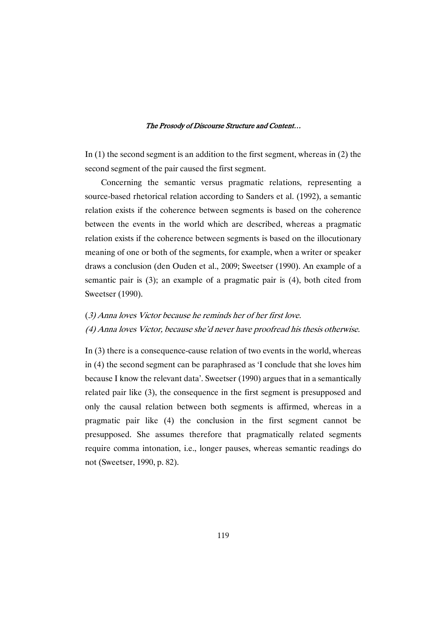In (1) the second segment is an addition to the first segment, whereas in (2) the second segment of the pair caused the first segment.

Concerning the semantic versus pragmatic relations, representing a source-based rhetorical relation according to Sanders et al. (1992), a semantic relation exists if the coherence between segments is based on the coherence between the events in the world which are described, whereas a pragmatic relation exists if the coherence between segments is based on the illocutionary meaning of one or both of the segments, for example, when a writer or speaker draws a conclusion (den Ouden et al., 2009; Sweetser (1990). An example of a semantic pair is (3); an example of a pragmatic pair is (4), both cited from Sweetser (1990).

### (3) Anna loves Victor because he reminds her of her first love.

(4) Anna loves Victor, because she'd never have proofread his thesis otherwise.

In (3) there is a consequence-cause relation of two events in the world, whereas in (4) the second segment can be paraphrased as 'I conclude that she loves him because I know the relevant data'. Sweetser (1990) argues that in a semantically related pair like (3), the consequence in the first segment is presupposed and only the causal relation between both segments is affirmed, whereas in a pragmatic pair like (4) the conclusion in the first segment cannot be presupposed. She assumes therefore that pragmatically related segments require comma intonation, i.e., longer pauses, whereas semantic readings do not (Sweetser, 1990, p. 82).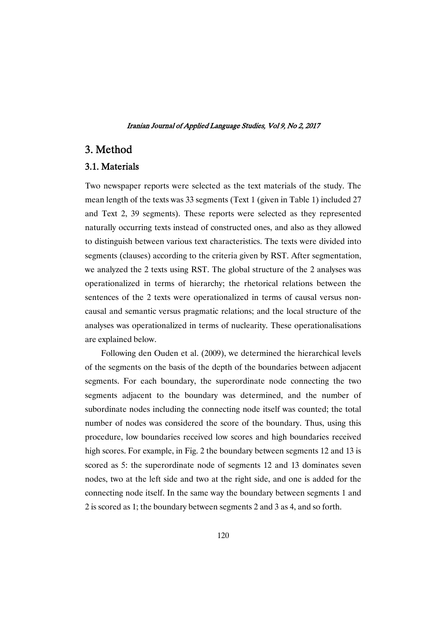## 3. Method

### 3.1.Materials

Two newspaper reports were selected as the text materials of the study. The mean length of the texts was 33 segments (Text 1 (given in Table 1) included 27 and Text 2, 39 segments). These reports were selected as they represented naturally occurring texts instead of constructed ones, and also as they allowed to distinguish between various text characteristics. The texts were divided into segments (clauses) according to the criteria given by RST. After segmentation, we analyzed the 2 texts using RST. The global structure of the 2 analyses was operationalized in terms of hierarchy; the rhetorical relations between the sentences of the 2 texts were operationalized in terms of causal versus noncausal and semantic versus pragmatic relations; and the local structure of the analyses was operationalized in terms of nuclearity. These operationalisations are explained below.

Following den Ouden et al. (2009), we determined the hierarchical levels of the segments on the basis of the depth of the boundaries between adjacent segments. For each boundary, the superordinate node connecting the two segments adjacent to the boundary was determined, and the number of subordinate nodes including the connecting node itself was counted; the total number of nodes was considered the score of the boundary. Thus, using this procedure, low boundaries received low scores and high boundaries received high scores. For example, in Fig. 2 the boundary between segments 12 and 13 is scored as 5: the superordinate node of segments 12 and 13 dominates seven nodes, two at the left side and two at the right side, and one is added for the connecting node itself. In the same way the boundary between segments 1 and 2 is scored as 1; the boundary between segments 2 and 3 as 4, and so forth.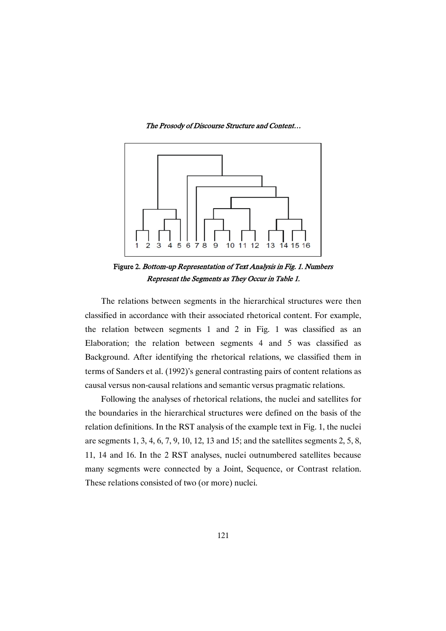

Figure 2. Bottom-up Representation of Text Analysis in Fig. 1. Numbers Represent the Segments as They Occur in Table 1.

The relations between segments in the hierarchical structures were then classified in accordance with their associated rhetorical content. For example, the relation between segments 1 and 2 in Fig. 1 was classified as an Elaboration; the relation between segments 4 and 5 was classified as Background. After identifying the rhetorical relations, we classified them in terms of Sanders et al. (1992)'s general contrasting pairs of content relations as causal versus non-causal relations and semantic versus pragmatic relations.

Following the analyses of rhetorical relations, the nuclei and satellites for the boundaries in the hierarchical structures were defined on the basis of the relation definitions. In the RST analysis of the example text in Fig. 1, the nuclei are segments 1, 3, 4, 6, 7, 9, 10, 12, 13 and 15; and the satellites segments 2, 5, 8, 11, 14 and 16. In the 2 RST analyses, nuclei outnumbered satellites because many segments were connected by a Joint, Sequence, or Contrast relation. These relations consisted of two (or more) nuclei.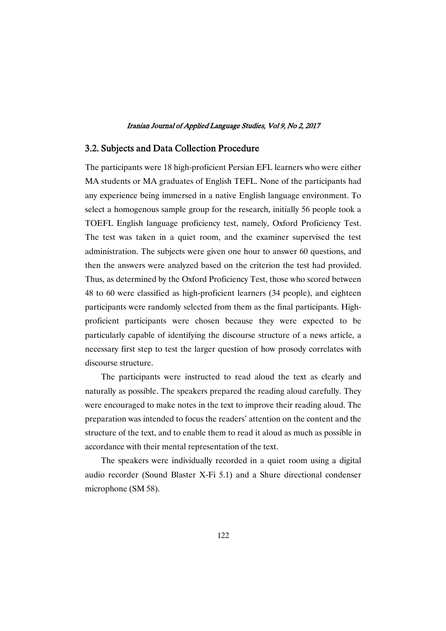### 3.2. Subjects and Data Collection Procedure

The participants were 18 high-proficient Persian EFL learners who were either MA students or MA graduates of English TEFL. None of the participants had any experience being immersed in a native English language environment. To select a homogenous sample group for the research, initially 56 people took a TOEFL English language proficiency test, namely, Oxford Proficiency Test. The test was taken in a quiet room, and the examiner supervised the test administration. The subjects were given one hour to answer 60 questions, and then the answers were analyzed based on the criterion the test had provided. Thus, as determined by the Oxford Proficiency Test, those who scored between 48 to 60 were classified as high-proficient learners (34 people), and eighteen participants were randomly selected from them as the final participants. Highproficient participants were chosen because they were expected to be particularly capable of identifying the discourse structure of a news article, a necessary first step to test the larger question of how prosody correlates with discourse structure.

The participants were instructed to read aloud the text as clearly and naturally as possible. The speakers prepared the reading aloud carefully. They were encouraged to make notes in the text to improve their reading aloud. The preparation was intended to focus the readers' attention on the content and the structure of the text, and to enable them to read it aloud as much as possible in accordance with their mental representation of the text.

The speakers were individually recorded in a quiet room using a digital audio recorder (Sound Blaster X-Fi 5.1) and a Shure directional condenser microphone (SM 58).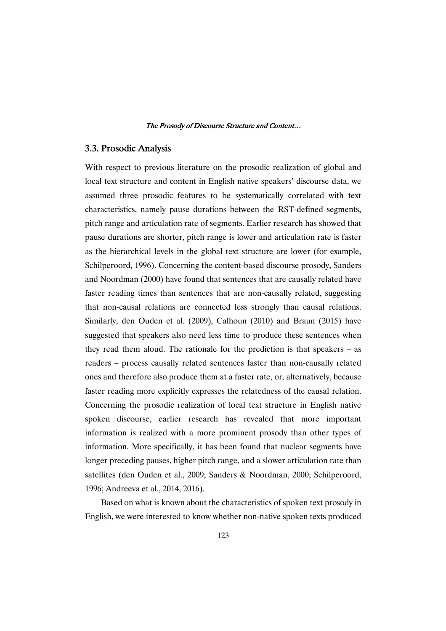### 3.3.ProsodicAnalysis

With respect to previous literature on the prosodic realization of global and local text structure and content in English native speakers' discourse data, we assumed three prosodic features to be systematically correlated with text characteristics, namely pause durations between the RST-defined segments, pitch range and articulation rate of segments. Earlier research has showed that pause durations are shorter, pitch range is lower and articulation rate is faster as the hierarchical levels in the global text structure are lower (for example, Schilperoord, 1996). Concerning the content-based discourse prosody, Sanders and Noordman (2000) have found that sentences that are causally related have faster reading times than sentences that are non-causally related, suggesting that non-causal relations are connected less strongly than causal relations. Similarly, den Ouden et al. (2009), Calhoun (2010) and Braun (2015) have suggested that speakers also need less time to produce these sentences when they read them aloud. The rationale for the prediction is that speakers – as readers – process causally related sentences faster than non-causally related ones and therefore also produce them at a faster rate, or, alternatively, because faster reading more explicitly expresses the relatedness of the causal relation. Concerning the prosodic realization of local text structure in English native spoken discourse, earlier research has revealed that more important information is realized with a more prominent prosody than other types of information. More specifically, it has been found that nuclear segments have longer preceding pauses, higher pitch range, and a slower articulation rate than satellites (den Ouden et al., 2009; Sanders & Noordman, 2000; Schilperoord, 1996; Andreeva et al., 2014, 2016).

Based on what is known about the characteristics of spoken text prosody in English, we were interested to know whether non-native spoken texts produced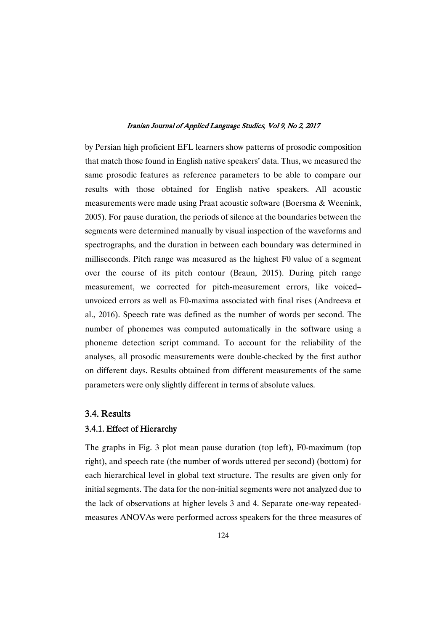by Persian high proficient EFL learners show patterns of prosodic composition that match those found in English native speakers' data. Thus, we measured the same prosodic features as reference parameters to be able to compare our results with those obtained for English native speakers. All acoustic measurements were made using Praat acoustic software (Boersma & Weenink, 2005). For pause duration, the periods of silence at the boundaries between the segments were determined manually by visual inspection of the waveforms and spectrographs, and the duration in between each boundary was determined in milliseconds. Pitch range was measured as the highest F0 value of a segment over the course of its pitch contour (Braun, 2015). During pitch range measurement, we corrected for pitch-measurement errors, like voiced– unvoiced errors as well as F0-maxima associated with final rises (Andreeva et al., 2016). Speech rate was defined as the number of words per second. The number of phonemes was computed automatically in the software using a phoneme detection script command. To account for the reliability of the analyses, all prosodic measurements were double-checked by the first author on different days. Results obtained from different measurements of the same parameters were only slightly different in terms of absolute values.

### 3.4.Results

### 3.4.1. Effect of Hierarchy

The graphs in Fig. 3 plot mean pause duration (top left), F0-maximum (top right), and speech rate (the number of words uttered per second) (bottom) for each hierarchical level in global text structure. The results are given only for initial segments. The data for the non-initial segments were not analyzed due to the lack of observations at higher levels 3 and 4. Separate one-way repeatedmeasures ANOVAs were performed across speakers for the three measures of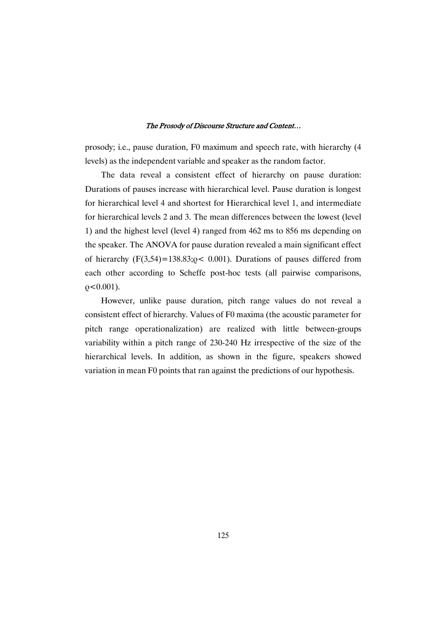prosody; i.e., pause duration, F0 maximum and speech rate, with hierarchy (4 levels) as the independent variable and speaker as the random factor.

The data reveal a consistent effect of hierarchy on pause duration: Durations of pauses increase with hierarchical level. Pause duration is longest for hierarchical level 4 and shortest for Hierarchical level 1, and intermediate for hierarchical levels 2 and 3. The mean differences between the lowest (level 1) and the highest level (level 4) ranged from 462 ms to 856 ms depending on the speaker. The ANOVA for pause duration revealed a main significant effect of hierarchy  $(F(3,54)=138.83; o < 0.001)$ . Durations of pauses differed from each other according to Scheffe post-hoc tests (all pairwise comparisons,  $\rho$  < 0.001).

However, unlike pause duration, pitch range values do not reveal a consistent effect of hierarchy. Values of F0 maxima (the acoustic parameter for pitch range operationalization) are realized with little between-groups variability within a pitch range of 230-240 Hz irrespective of the size of the hierarchical levels. In addition, as shown in the figure, speakers showed variation in mean F0 points that ran against the predictions of our hypothesis.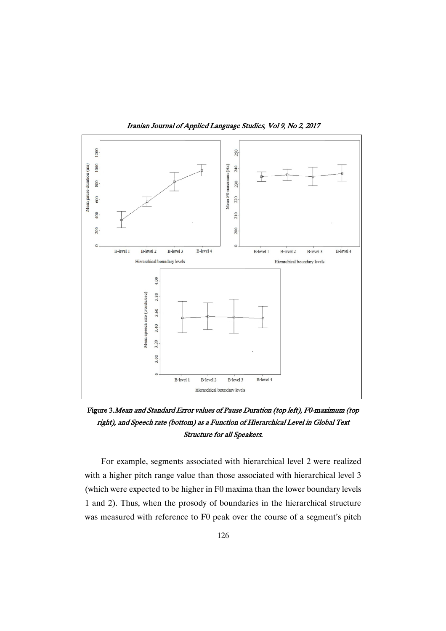

Iranian Journal of Applied Language Studies, Vol 9, No 2, 2017

Figure 3. Mean and Standard Error values of Pause Duration (top left), F0-maximum (top right), and Speech rate (bottom) as a Function of Hierarchical Level in Global Text Structure for all Speakers.

For example, segments associated with hierarchical level 2 were realized with a higher pitch range value than those associated with hierarchical level 3 (which were expected to be higher in F0 maxima than the lower boundary levels 1 and 2). Thus, when the prosody of boundaries in the hierarchical structure was measured with reference to F0 peak over the course of a segment's pitch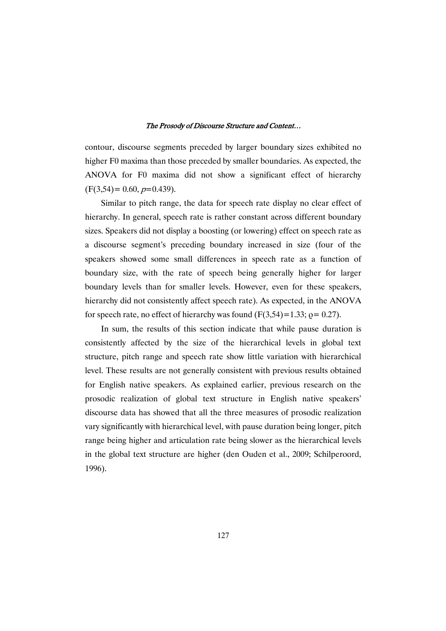contour, discourse segments preceded by larger boundary sizes exhibited no higher F0 maxima than those preceded by smaller boundaries. As expected, the ANOVA for F0 maxima did not show a significant effect of hierarchy  $(F(3,54)= 0.60, p=0.439).$ 

Similar to pitch range, the data for speech rate display no clear effect of hierarchy. In general, speech rate is rather constant across different boundary sizes. Speakers did not display a boosting (or lowering) effect on speech rate as a discourse segment's preceding boundary increased in size (four of the speakers showed some small differences in speech rate as a function of boundary size, with the rate of speech being generally higher for larger boundary levels than for smaller levels. However, even for these speakers, hierarchy did not consistently affect speech rate). As expected, in the ANOVA for speech rate, no effect of hierarchy was found  $(F(3,54)=1.33; \rho = 0.27)$ .

In sum, the results of this section indicate that while pause duration is consistently affected by the size of the hierarchical levels in global text structure, pitch range and speech rate show little variation with hierarchical level. These results are not generally consistent with previous results obtained for English native speakers. As explained earlier, previous research on the prosodic realization of global text structure in English native speakers' discourse data has showed that all the three measures of prosodic realization vary significantly with hierarchical level, with pause duration being longer, pitch range being higher and articulation rate being slower as the hierarchical levels in the global text structure are higher (den Ouden et al., 2009; Schilperoord, 1996).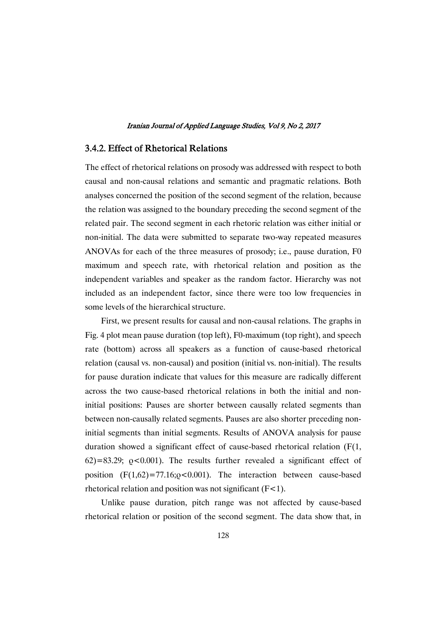### 3.4.2. Effect of Rhetorical Relations

The effect of rhetorical relations on prosody was addressed with respect to both causal and non-causal relations and semantic and pragmatic relations. Both analyses concerned the position of the second segment of the relation, because the relation was assigned to the boundary preceding the second segment of the related pair. The second segment in each rhetoric relation was either initial or non-initial. The data were submitted to separate two-way repeated measures ANOVAs for each of the three measures of prosody; i.e., pause duration, F0 maximum and speech rate, with rhetorical relation and position as the independent variables and speaker as the random factor. Hierarchy was not included as an independent factor, since there were too low frequencies in some levels of the hierarchical structure.

First, we present results for causal and non-causal relations. The graphs in Fig. 4 plot mean pause duration (top left), F0-maximum (top right), and speech rate (bottom) across all speakers as a function of cause-based rhetorical relation (causal vs. non-causal) and position (initial vs. non-initial). The results for pause duration indicate that values for this measure are radically different across the two cause-based rhetorical relations in both the initial and noninitial positions: Pauses are shorter between causally related segments than between non-causally related segments. Pauses are also shorter preceding noninitial segments than initial segments. Results of ANOVA analysis for pause duration showed a significant effect of cause-based rhetorical relation (F(1,  $62$ )=83.29;  $o$ <0.001). The results further revealed a significant effect of position  $(F(1,62)=77.16; \rho<0.001)$ . The interaction between cause-based rhetorical relation and position was not significant  $(F<1)$ .

Unlike pause duration, pitch range was not affected by cause-based rhetorical relation or position of the second segment. The data show that, in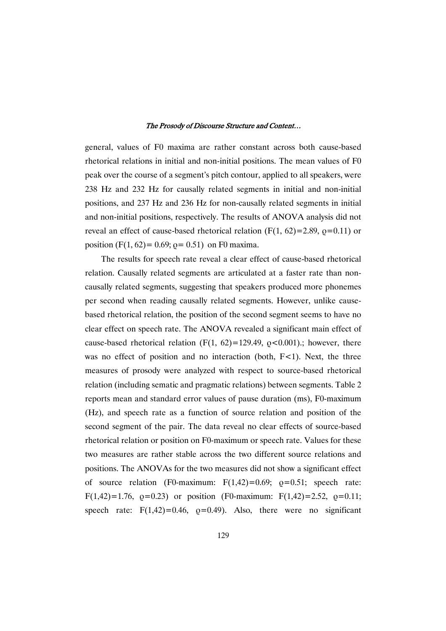general, values of F0 maxima are rather constant across both cause-based rhetorical relations in initial and non-initial positions. The mean values of F0 peak over the course of a segment's pitch contour, applied to all speakers, were 238 Hz and 232 Hz for causally related segments in initial and non-initial positions, and 237 Hz and 236 Hz for non-causally related segments in initial and non-initial positions, respectively. The results of ANOVA analysis did not reveal an effect of cause-based rhetorical relation  $(F(1, 62)=2.89, \rho=0.11)$  or position (F(1, 62) = 0.69;  $\rho$  = 0.51) on F0 maxima.

The results for speech rate reveal a clear effect of cause-based rhetorical relation. Causally related segments are articulated at a faster rate than noncausally related segments, suggesting that speakers produced more phonemes per second when reading causally related segments. However, unlike causebased rhetorical relation, the position of the second segment seems to have no clear effect on speech rate. The ANOVA revealed a significant main effect of cause-based rhetorical relation  $(F(1, 62)=129.49, \rho < 0.001)$ .; however, there was no effect of position and no interaction (both,  $F<1$ ). Next, the three measures of prosody were analyzed with respect to source-based rhetorical relation (including sematic and pragmatic relations) between segments. Table 2 reports mean and standard error values of pause duration (ms), F0-maximum (Hz), and speech rate as a function of source relation and position of the second segment of the pair. The data reveal no clear effects of source-based rhetorical relation or position on F0-maximum or speech rate. Values for these two measures are rather stable across the two different source relations and positions. The ANOVAs for the two measures did not show a significant effect of source relation (F0-maximum:  $F(1,42)=0.69$ ;  $\rho=0.51$ ; speech rate: F(1,42)=1.76,  $o=0.23$ ) or position (F0-maximum: F(1,42)=2.52,  $o=0.11$ ; speech rate:  $F(1,42)=0.46$ ,  $p=0.49$ ). Also, there were no significant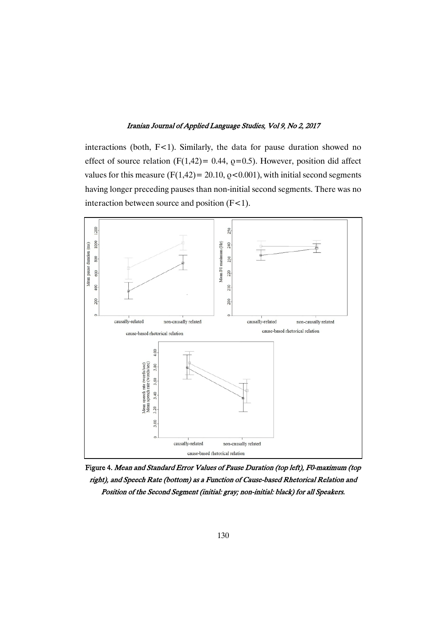interactions (both,  $F<1$ ). Similarly, the data for pause duration showed no effect of source relation (F(1,42)= 0.44,  $\rho$ =0.5). However, position did affect values for this measure (F(1,42) = 20.10,  $\varrho$  < 0.001), with initial second segments having longer preceding pauses than non-initial second segments. There was no interaction between source and position  $(F<1)$ .



Figure 4. Mean and Standard Error Values of Pause Duration (top left), F0-maximum (top right), and Speech Rate (bottom) as a Function of Cause-based Rhetorical Relation and Position of the Second Segment (initial: gray; non-initial: black) for all Speakers.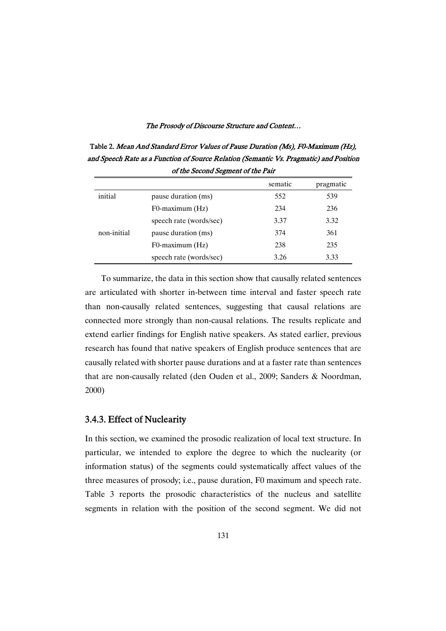Table 2. Mean And Standard Error Values of Pause Duration (Ms), F0-Maximum (Hz), and Speech Rate as a Function of Source Relation (Semantic Vs. Pragmatic) and Position of the Second Segment of the Pair

|             |                         | sematic | pragmatic |
|-------------|-------------------------|---------|-----------|
| initial     | pause duration (ms)     | 552     | 539       |
|             | F0-maximum (Hz)         | 234     | 236       |
|             | speech rate (words/sec) | 3.37    | 3.32      |
| non-initial | pause duration (ms)     | 374     | 361       |
|             | F0-maximum (Hz)         | 238     | 235       |
|             | speech rate (words/sec) | 3.26    | 3.33      |

To summarize, the data in this section show that causally related sentences are articulated with shorter in-between time interval and faster speech rate than non-causally related sentences, suggesting that causal relations are connected more strongly than non-causal relations. The results replicate and extend earlier findings for English native speakers. As stated earlier, previous research has found that native speakers of English produce sentences that are causally related with shorter pause durations and at a faster rate than sentences that are non-causally related (den Ouden et al., 2009; Sanders & Noordman, 2000)

### 3.4.3. Effect of Nuclearity

In this section, we examined the prosodic realization of local text structure. In particular, we intended to explore the degree to which the nuclearity (or information status) of the segments could systematically affect values of the three measures of prosody; i.e., pause duration, F0 maximum and speech rate. Table 3 reports the prosodic characteristics of the nucleus and satellite segments in relation with the position of the second segment. We did not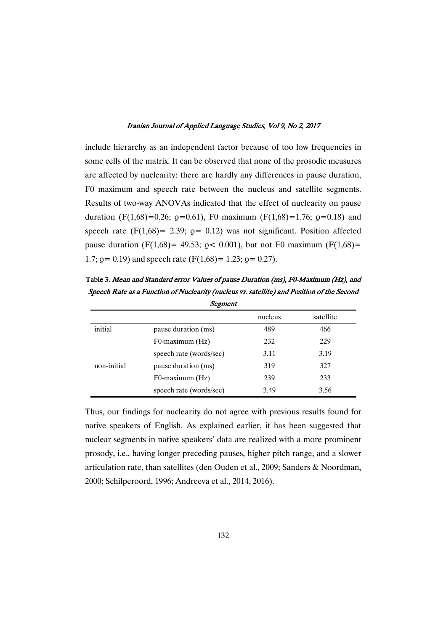include hierarchy as an independent factor because of too low frequencies in some cells of the matrix. It can be observed that none of the prosodic measures are affected by nuclearity: there are hardly any differences in pause duration, F0 maximum and speech rate between the nucleus and satellite segments. Results of two-way ANOVAs indicated that the effect of nuclearity on pause duration (F(1,68)=0.26;  $\rho$ =0.61), F0 maximum (F(1,68)=1.76;  $\rho$ =0.18) and speech rate  $(F(1,68)) = 2.39$ ;  $\rho = 0.12$ ) was not significant. Position affected pause duration (F(1,68)= 49.53;  $p$  < 0.001), but not F0 maximum (F(1,68)= 1.7;  $\rho$  = 0.19) and speech rate (F(1,68) = 1.23;  $\rho$  = 0.27).

Table 3. Mean and Standard error Values of pause Duration (ms), F0-Maximum (Hz), and Speech Rate as a Function of Nuclearity (nucleus vs. satellite) and Position of the Second **Segment** 

| $\mathcal{L}_{\mathbf{a}}$ , where $\mathcal{L}_{\mathbf{a}}$ |                         |         |           |  |  |
|---------------------------------------------------------------|-------------------------|---------|-----------|--|--|
|                                                               |                         | nucleus | satellite |  |  |
| initial                                                       | pause duration (ms)     | 489     | 466       |  |  |
|                                                               | F0-maximum (Hz)         | 232     | 229       |  |  |
|                                                               | speech rate (words/sec) | 3.11    | 3.19      |  |  |
| non-initial                                                   | pause duration (ms)     | 319     | 327       |  |  |
|                                                               | F0-maximum (Hz)         | 239     | 233       |  |  |
|                                                               | speech rate (words/sec) | 3.49    | 3.56      |  |  |

Thus, our findings for nuclearity do not agree with previous results found for native speakers of English. As explained earlier, it has been suggested that nuclear segments in native speakers' data are realized with a more prominent prosody, i.e., having longer preceding pauses, higher pitch range, and a slower articulation rate, than satellites (den Ouden et al., 2009; Sanders & Noordman, 2000; Schilperoord, 1996; Andreeva et al., 2014, 2016).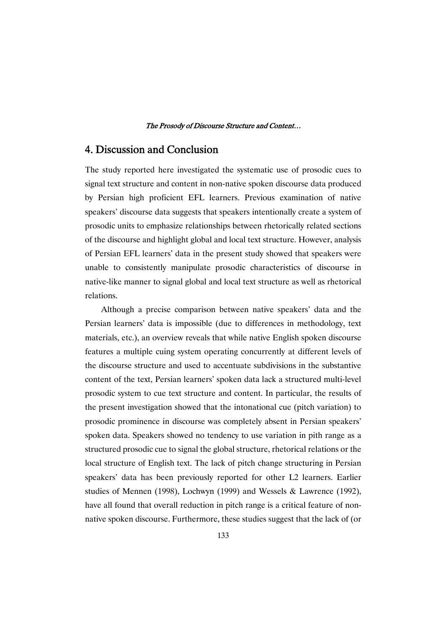## 4. Discussion and Conclusion

The study reported here investigated the systematic use of prosodic cues to signal text structure and content in non-native spoken discourse data produced by Persian high proficient EFL learners. Previous examination of native speakers' discourse data suggests that speakers intentionally create a system of prosodic units to emphasize relationships between rhetorically related sections of the discourse and highlight global and local text structure. However, analysis of Persian EFL learners' data in the present study showed that speakers were unable to consistently manipulate prosodic characteristics of discourse in native-like manner to signal global and local text structure as well as rhetorical relations.

Although a precise comparison between native speakers' data and the Persian learners' data is impossible (due to differences in methodology, text materials, etc.), an overview reveals that while native English spoken discourse features a multiple cuing system operating concurrently at different levels of the discourse structure and used to accentuate subdivisions in the substantive content of the text, Persian learners' spoken data lack a structured multi-level prosodic system to cue text structure and content. In particular, the results of the present investigation showed that the intonational cue (pitch variation) to prosodic prominence in discourse was completely absent in Persian speakers' spoken data. Speakers showed no tendency to use variation in pith range as a structured prosodic cue to signal the global structure, rhetorical relations or the local structure of English text. The lack of pitch change structuring in Persian speakers' data has been previously reported for other L2 learners. Earlier studies of Mennen (1998), Lochwyn (1999) and Wessels & Lawrence (1992), have all found that overall reduction in pitch range is a critical feature of nonnative spoken discourse. Furthermore, these studies suggest that the lack of (or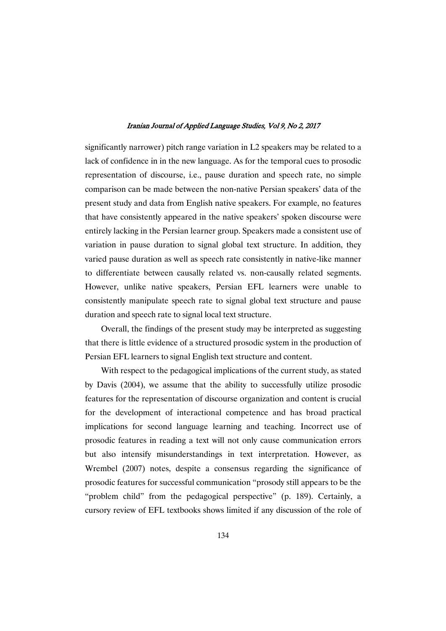significantly narrower) pitch range variation in L2 speakers may be related to a lack of confidence in in the new language. As for the temporal cues to prosodic representation of discourse, i.e., pause duration and speech rate, no simple comparison can be made between the non-native Persian speakers' data of the present study and data from English native speakers. For example, no features that have consistently appeared in the native speakers' spoken discourse were entirely lacking in the Persian learner group. Speakers made a consistent use of variation in pause duration to signal global text structure. In addition, they varied pause duration as well as speech rate consistently in native-like manner to differentiate between causally related vs. non-causally related segments. However, unlike native speakers, Persian EFL learners were unable to consistently manipulate speech rate to signal global text structure and pause duration and speech rate to signal local text structure.

Overall, the findings of the present study may be interpreted as suggesting that there is little evidence of a structured prosodic system in the production of Persian EFL learners to signal English text structure and content.

With respect to the pedagogical implications of the current study, as stated by Davis (2004), we assume that the ability to successfully utilize prosodic features for the representation of discourse organization and content is crucial for the development of interactional competence and has broad practical implications for second language learning and teaching. Incorrect use of prosodic features in reading a text will not only cause communication errors but also intensify misunderstandings in text interpretation. However, as Wrembel (2007) notes, despite a consensus regarding the significance of prosodic features for successful communication "prosody still appears to be the "problem child" from the pedagogical perspective" (p. 189). Certainly, a cursory review of EFL textbooks shows limited if any discussion of the role of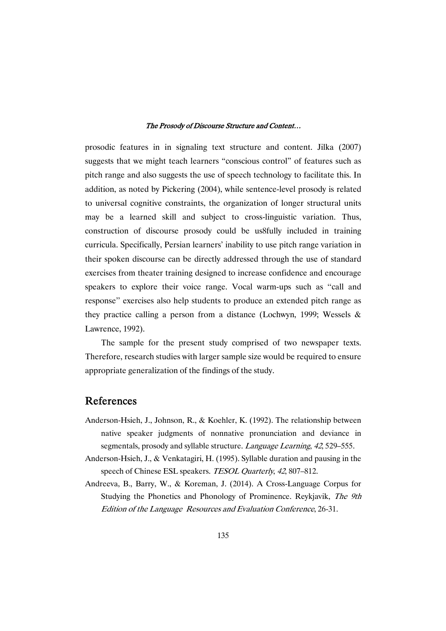prosodic features in in signaling text structure and content. Jilka (2007) suggests that we might teach learners "conscious control" of features such as pitch range and also suggests the use of speech technology to facilitate this. In addition, as noted by Pickering (2004), while sentence-level prosody is related to universal cognitive constraints, the organization of longer structural units may be a learned skill and subject to cross-linguistic variation. Thus, construction of discourse prosody could be us8fully included in training curricula. Specifically, Persian learners' inability to use pitch range variation in their spoken discourse can be directly addressed through the use of standard exercises from theater training designed to increase confidence and encourage speakers to explore their voice range. Vocal warm-ups such as ''call and response'' exercises also help students to produce an extended pitch range as they practice calling a person from a distance (Lochwyn, 1999; Wessels & Lawrence, 1992).

The sample for the present study comprised of two newspaper texts. Therefore, research studies with larger sample size would be required to ensure appropriate generalization of the findings of the study.

### References

- Anderson-Hsieh, J., Johnson, R., & Koehler, K. (1992). The relationship between native speaker judgments of nonnative pronunciation and deviance in segmentals, prosody and syllable structure. *Language Learning*, 42, 529–555.
- Anderson-Hsieh, J., & Venkatagiri, H. (1995). Syllable duration and pausing in the speech of Chinese ESL speakers. TESOL Quarterly, 42, 807-812.
- Andreeva, B., Barry, W., & Koreman, J. (2014). A Cross-Language Corpus for Studying the Phonetics and Phonology of Prominence. Reykjavik, The 9th Edition of the Language Resources and Evaluation Conference, 26-31.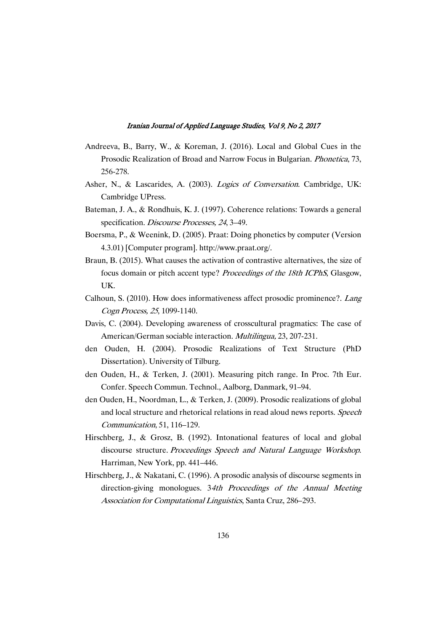- Andreeva, B., Barry, W., & Koreman, J. (2016). Local and Global Cues in the Prosodic Realization of Broad and Narrow Focus in Bulgarian. Phonetica, 73, 256-278.
- Asher, N., & Lascarides, A. (2003). Logics of Conversation. Cambridge, UK: Cambridge UPress.
- Bateman, J. A., & Rondhuis, K. J. (1997). Coherence relations: Towards a general specification. Discourse Processes, 24, 3-49.
- Boersma, P., & Weenink, D. (2005). Praat: Doing phonetics by computer (Version 4.3.01) [Computer program]. http://www.praat.org/.
- Braun, B. (2015). What causes the activation of contrastive alternatives, the size of focus domain or pitch accent type? Proceedings of the 18th ICPhS, Glasgow, UK.
- Calhoun, S. (2010). How does informativeness affect prosodic prominence?. Lang Cogn Process, <sup>25</sup>, 1099-1140.
- Davis, C. (2004). Developing awareness of crosscultural pragmatics: The case of American/German sociable interaction. Multilingua, 23, 207-231.
- den Ouden, H. (2004). Prosodic Realizations of Text Structure (PhD Dissertation). University of Tilburg.
- den Ouden, H., & Terken, J. (2001). Measuring pitch range. In Proc. 7th Eur. Confer. Speech Commun. Technol., Aalborg, Danmark, 91–94.
- den Ouden, H., Noordman, L., & Terken, J. (2009). Prosodic realizations of global and local structure and rhetorical relations in read aloud news reports. Speech Communication, 51, 116–129.
- Hirschberg, J., & Grosz, B. (1992). Intonational features of local and global discourse structure. Proceedings Speech and Natural Language Workshop. Harriman, New York, pp. 441–446.
- Hirschberg, J., & Nakatani, C. (1996). A prosodic analysis of discourse segments in direction-giving monologues. 34th Proceedings of the Annual Meeting Association for Computational Linguistics, Santa Cruz, 286–293.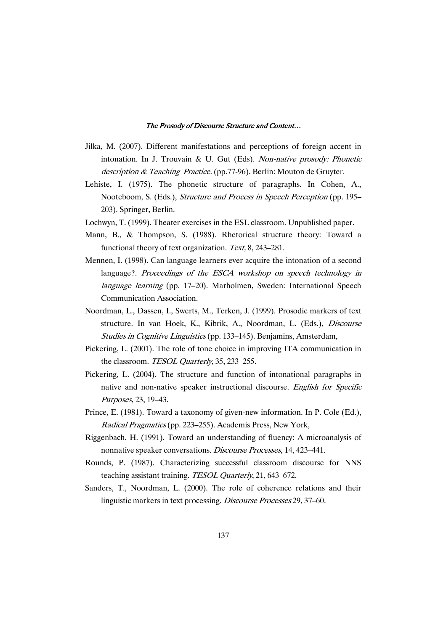- Jilka, M. (2007). Different manifestations and perceptions of foreign accent in intonation. In J. Trouvain & U. Gut (Eds). Non-native prosody: Phonetic description & Teaching Practice. (pp.77-96). Berlin: Mouton de Gruyter.
- Lehiste, I. (1975). The phonetic structure of paragraphs. In Cohen, A., Nooteboom, S. (Eds.), Structure and Process in Speech Perception (pp. 195– 203). Springer, Berlin.
- Lochwyn, T. (1999). Theater exercises in the ESL classroom. Unpublished paper.
- Mann, B., & Thompson, S. (1988). Rhetorical structure theory: Toward a functional theory of text organization. Text, 8, 243–281.
- Mennen, I. (1998). Can language learners ever acquire the intonation of a second language?. Proceedings of the ESCA workshop on speech technology in language learning (pp. 17–20). Marholmen, Sweden: International Speech Communication Association.
- Noordman, L., Dassen, I., Swerts, M., Terken, J. (1999). Prosodic markers of text structure. In van Hoek, K., Kibrik, A., Noordman, L. (Eds.), Discourse Studies in Cognitive Linguistics (pp. 133–145). Benjamins, Amsterdam,
- Pickering, L. (2001). The role of tone choice in improving ITA communication in the classroom. TESOL Quarterly, 35, 233-255.
- Pickering, L. (2004). The structure and function of intonational paragraphs in native and non-native speaker instructional discourse. English for Specific Purposes, 23, 19–43.
- Prince, E. (1981). Toward a taxonomy of given-new information. In P. Cole (Ed.), Radical Pragmatics (pp. 223–255). Academis Press, New York,
- Riggenbach, H. (1991). Toward an understanding of fluency: A microanalysis of nonnative speaker conversations. Discourse Processes, 14, 423–441.
- Rounds, P. (1987). Characterizing successful classroom discourse for NNS teaching assistant training. TESOL Quarterly, 21, 643–672.
- Sanders, T., Noordman, L. (2000). The role of coherence relations and their linguistic markers in text processing. Discourse Processes 29, 37–60.